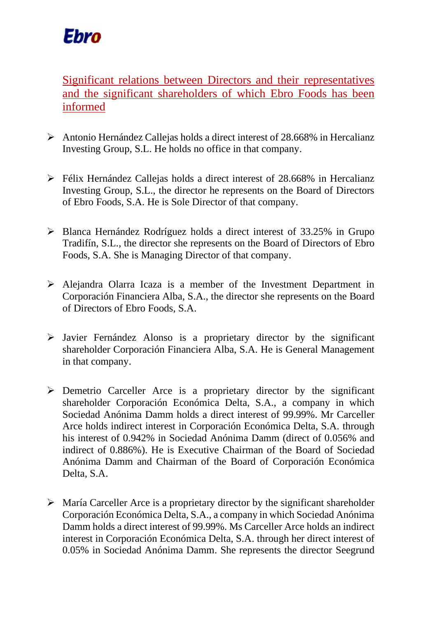

Significant relations between Directors and their representatives and the significant shareholders of which Ebro Foods has been informed

- ➢ Antonio Hernández Callejas holds a direct interest of 28.668% in Hercalianz Investing Group, S.L. He holds no office in that company.
- ➢ Félix Hernández Callejas holds a direct interest of 28.668% in Hercalianz Investing Group, S.L., the director he represents on the Board of Directors of Ebro Foods, S.A. He is Sole Director of that company.
- ➢ Blanca Hernández Rodríguez holds a direct interest of 33.25% in Grupo Tradifín, S.L., the director she represents on the Board of Directors of Ebro Foods, S.A. She is Managing Director of that company.
- ➢ Alejandra Olarra Icaza is a member of the Investment Department in Corporación Financiera Alba, S.A., the director she represents on the Board of Directors of Ebro Foods, S.A.
- ➢ Javier Fernández Alonso is a proprietary director by the significant shareholder Corporación Financiera Alba, S.A. He is General Management in that company.
- $\triangleright$  Demetrio Carceller Arce is a proprietary director by the significant shareholder Corporación Económica Delta, S.A., a company in which Sociedad Anónima Damm holds a direct interest of 99.99%. Mr Carceller Arce holds indirect interest in Corporación Económica Delta, S.A. through his interest of 0.942% in Sociedad Anónima Damm (direct of 0.056% and indirect of 0.886%). He is Executive Chairman of the Board of Sociedad Anónima Damm and Chairman of the Board of Corporación Económica Delta, S.A.
- $\triangleright$  María Carceller Arce is a proprietary director by the significant shareholder Corporación Económica Delta, S.A., a company in which Sociedad Anónima Damm holds a direct interest of 99.99%. Ms Carceller Arce holds an indirect interest in Corporación Económica Delta, S.A. through her direct interest of 0.05% in Sociedad Anónima Damm. She represents the director Seegrund